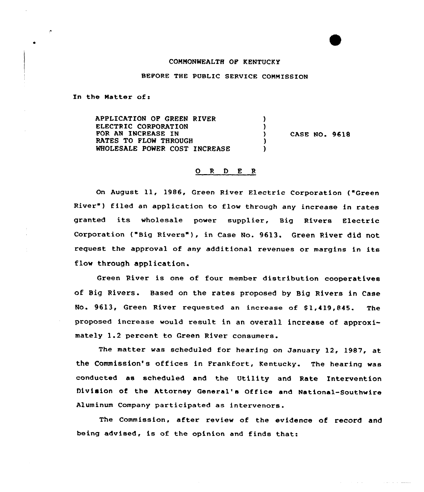## COMMONWEALTH OF KENTUCKY

## BEFORE THE PUBLIC SERVICE COMMISSION

In the Matter of:

APPLICATION OP GREEN RIVER  $\rightarrow$ ELECTRIC CORPORATION  $\lambda$ FOR AN INCREASE IN CASE NO. 9618  $\mathbf{v}$ RATES TO FLOW THROUGH  $\mathbf{I}$ WHOLESALE POWER COST INCREASE  $\lambda$ 

## 0 <sup>R</sup> <sup>D</sup> E R

On August ll, 1986, Green River Electric Corporation ("Green River") filed an application to flow through any increase in rates granted its wholesale power supplier, Big Rivers Electric Corporation ("Big Rivers"), in Case No. 9613. Green River did not request the approval of any additional revenues or margins in its flow through application.

Green River is one of four member distribution cooperatives of Big Rivers. Based on the rates proposed by Big Rivers in Case No. 9613, Green River requested an increase of Sl,419,845. The proposed increase would result in an overall increase of approximately 1.2 percent to Green River consumers.

The matter was scheduled for hearing on January 12, 1987, at the Commission's offices in Frankfort, Kentucky. The hearing was conducted as scheduled and the Utility and Rate Intervention Division of the Attorney General's Office and National-Southwire Aluminum Company participated as intervenors.

The Commission, after review of the evidence of record and being advised, is of the opinion and finds that: